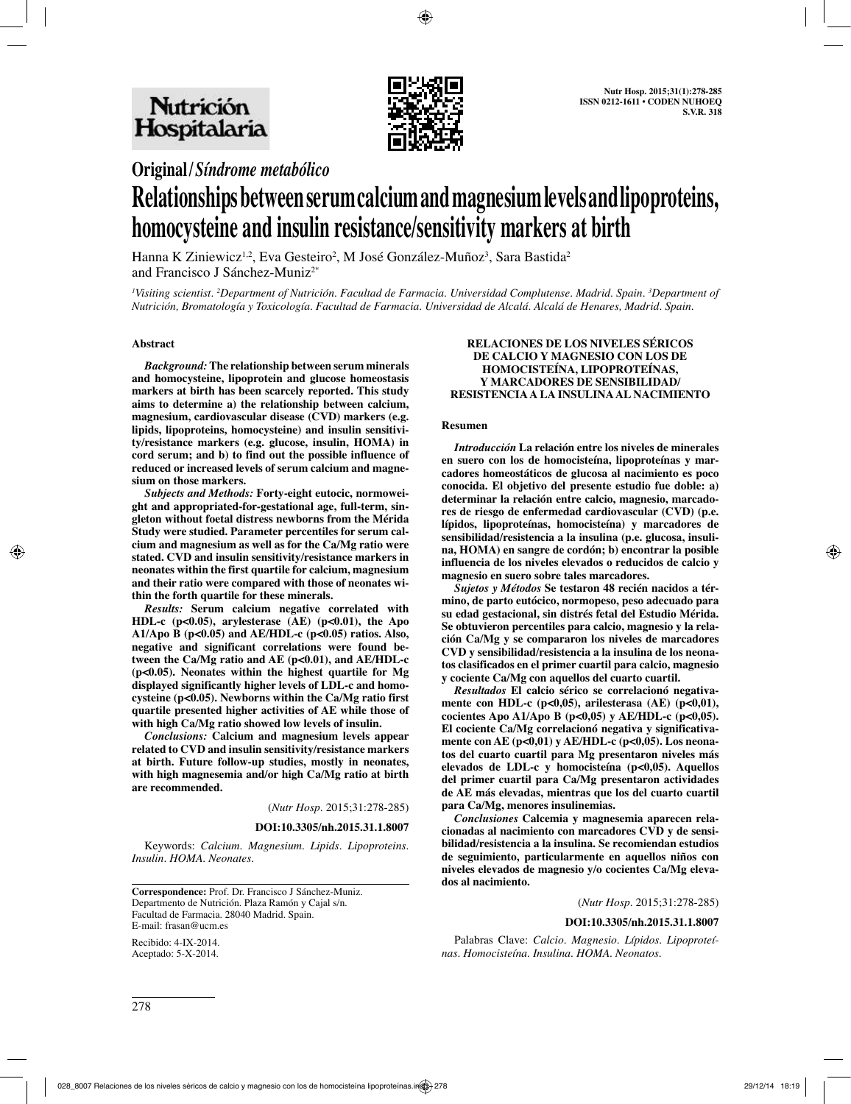

**Original/***Síndrome metabólico*

# **Relationships between serum calcium and magnesium levels and lipoproteins, homocysteine and insulin resistance/sensitivity markers at birth**

Hanna K Ziniewicz $^{1,2}$ , Eva Gesteiro<sup>2</sup>, M José González-Muñoz<sup>3</sup>, Sara Bastida<sup>2</sup> and Francisco J Sánchez-Muniz2\*

*1 Visiting scientist. 2 Department of Nutrición. Facultad de Farmacia. Universidad Complutense. Madrid. Spain. 3 Department of Nutrición, Bromatología y Toxicología. Facultad de Farmacia. Universidad de Alcalá. Alcalá de Henares, Madrid. Spain.*

### **Abstract**

*Background:* **The relationship between serum minerals and homocysteine, lipoprotein and glucose homeostasis markers at birth has been scarcely reported. This study aims to determine a) the relationship between calcium, magnesium, cardiovascular disease (CVD) markers (e.g. lipids, lipoproteins, homocysteine) and insulin sensitivity/resistance markers (e.g. glucose, insulin, HOMA) in cord serum; and b) to find out the possible influence of reduced or increased levels of serum calcium and magnesium on those markers.** 

*Subjects and Methods:* **Forty-eight eutocic, normoweight and appropriated-for-gestational age, full-term, singleton without foetal distress newborns from the Mérida Study were studied. Parameter percentiles for serum calcium and magnesium as well as for the Ca/Mg ratio were stated. CVD and insulin sensitivity/resistance markers in neonates within the first quartile for calcium, magnesium and their ratio were compared with those of neonates within the forth quartile for these minerals.**

*Results:* **Serum calcium negative correlated with HDL-c (p<0.05), arylesterase (AE) (p<0.01), the Apo A1/Apo B (p<0.05) and AE/HDL-c (p<0.05) ratios. Also, negative and significant correlations were found between the Ca/Mg ratio and AE (p<0.01), and AE/HDL-c (p<0.05). Neonates within the highest quartile for Mg displayed significantly higher levels of LDL-c and homocysteine (p<0.05). Newborns within the Ca/Mg ratio first quartile presented higher activities of AE while those of with high Ca/Mg ratio showed low levels of insulin.** 

*Conclusions:* **Calcium and magnesium levels appear related to CVD and insulin sensitivity/resistance markers at birth. Future follow-up studies, mostly in neonates, with high magnesemia and/or high Ca/Mg ratio at birth are recommended.**

(*Nutr Hosp.* 2015;31:278-285)

**DOI:10.3305/nh.2015.31.1.8007**

Keywords: *Calcium. Magnesium. Lipids. Lipoproteins. Insulin. HOMA. Neonates.*

**Correspondence:** Prof. Dr. Francisco J Sánchez-Muniz. Departmento de Nutrición. Plaza Ramón y Cajal s/n. Facultad de Farmacia. 28040 Madrid. Spain. E-mail: frasan@ucm.es

Recibido: 4-IX-2014. Aceptado: 5-X-2014.

#### **RELACIONES DE LOS NIVELES SÉRICOS DE CALCIO Y MAGNESIO CON LOS DE HOMOCISTEÍNA, LIPOPROTEÍNAS, Y MARCADORES DE SENSIBILIDAD/ RESISTENCIA A LA INSULINA AL NACIMIENTO**

#### **Resumen**

*Introducción* **La relación entre los niveles de minerales en suero con los de homocisteína, lipoproteínas y marcadores homeostáticos de glucosa al nacimiento es poco conocida. El objetivo del presente estudio fue doble: a) determinar la relación entre calcio, magnesio, marcadores de riesgo de enfermedad cardiovascular (CVD) (p.e. lípidos, lipoproteínas, homocisteína) y marcadores de sensibilidad/resistencia a la insulina (p.e. glucosa, insulina, HOMA) en sangre de cordón; b) encontrar la posible influencia de los niveles elevados o reducidos de calcio y magnesio en suero sobre tales marcadores.** 

*Sujetos y Métodos* **Se testaron 48 recién nacidos a término, de parto eutócico, normopeso, peso adecuado para su edad gestacional, sin distrés fetal del Estudio Mérida. Se obtuvieron percentiles para calcio, magnesio y la relación Ca/Mg y se compararon los niveles de marcadores CVD y sensibilidad/resistencia a la insulina de los neonatos clasificados en el primer cuartil para calcio, magnesio y cociente Ca/Mg con aquellos del cuarto cuartil.**

*Resultados* **El calcio sérico se correlacionó negativamente con HDL-c (p<0,05), arilesterasa (AE) (p<0,01), cocientes Apo A1/Apo B (p<0,05) y AE/HDL-c (p<0,05). El cociente Ca/Mg correlacionó negativa y significativamente con AE (p<0,01) y AE/HDL-c (p<0,05). Los neonatos del cuarto cuartil para Mg presentaron niveles más elevados de LDL-c y homocisteína (p<0,05). Aquellos del primer cuartil para Ca/Mg presentaron actividades de AE más elevadas, mientras que los del cuarto cuartil para Ca/Mg, menores insulinemias.** 

*Conclusiones* **Calcemia y magnesemia aparecen relacionadas al nacimiento con marcadores CVD y de sensibilidad/resistencia a la insulina. Se recomiendan estudios de seguimiento, particularmente en aquellos niños con niveles elevados de magnesio y/o cocientes Ca/Mg elevados al nacimiento.**

(*Nutr Hosp.* 2015;31:278-285)

#### **DOI:10.3305/nh.2015.31.1.8007**

Palabras Clave: *Calcio. Magnesio. Lípidos. Lipoproteínas. Homocisteína. Insulina. HOMA. Neonatos.*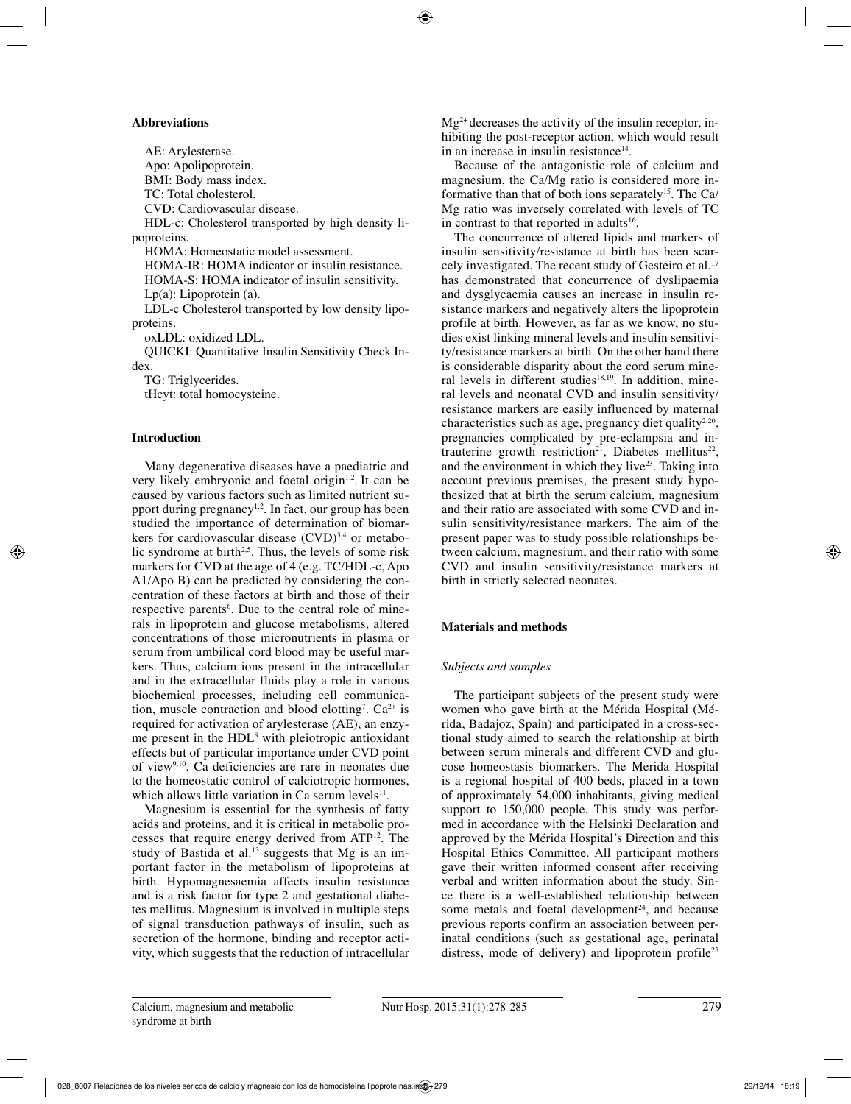## **Abbreviations**

AE: Arylesterase. Apo: Apolipoprotein. BMI: Body mass index. TC: Total cholesterol. CVD: Cardiovascular disease. HDL-c: Cholesterol transported by high density lipoproteins. HOMA: Homeostatic model assessment. HOMA-IR: HOMA indicator of insulin resistance. HOMA-S: HOMA indicator of insulin sensitivity. Lp(a): Lipoprotein (a). LDL-c Cholesterol transported by low density lipoproteins. oxLDL: oxidized LDL. QUICKI: Quantitative Insulin Sensitivity Check Index. TG: Triglycerides. tHcyt: total homocysteine.

# **Introduction**

Many degenerative diseases have a paediatric and very likely embryonic and foetal origin<sup>1,2</sup>. It can be caused by various factors such as limited nutrient support during pregnancy<sup>1,2</sup>. In fact, our group has been studied the importance of determination of biomarkers for cardiovascular disease  $(CVD)^{3,4}$  or metabolic syndrome at birth<sup>2,5</sup>. Thus, the levels of some risk markers for CVD at the age of 4 (e.g. TC/HDL-c, Apo A1/Apo B) can be predicted by considering the concentration of these factors at birth and those of their respective parents<sup>6</sup>. Due to the central role of minerals in lipoprotein and glucose metabolisms, altered concentrations of those micronutrients in plasma or serum from umbilical cord blood may be useful markers. Thus, calcium ions present in the intracellular and in the extracellular fluids play a role in various biochemical processes, including cell communication, muscle contraction and blood clotting<sup>7</sup>.  $Ca^{2+}$  is required for activation of arylesterase (AE), an enzyme present in the HDL<sup>8</sup> with pleiotropic antioxidant effects but of particular importance under CVD point of view9,10. Ca deficiencies are rare in neonates due to the homeostatic control of calciotropic hormones, which allows little variation in Ca serum levels $11$ .

Magnesium is essential for the synthesis of fatty acids and proteins, and it is critical in metabolic processes that require energy derived from ATP12. The study of Bastida et al.<sup>13</sup> suggests that Mg is an important factor in the metabolism of lipoproteins at birth. Hypomagnesaemia affects insulin resistance and is a risk factor for type 2 and gestational diabetes mellitus. Magnesium is involved in multiple steps of signal transduction pathways of insulin, such as secretion of the hormone, binding and receptor activity, which suggests that the reduction of intracellular  $Mg^{2+}$  decreases the activity of the insulin receptor, inhibiting the post-receptor action, which would result in an increase in insulin resistance $14$ .

Because of the antagonistic role of calcium and magnesium, the Ca/Mg ratio is considered more informative than that of both ions separately<sup>15</sup>. The Ca/ Mg ratio was inversely correlated with levels of TC in contrast to that reported in adults<sup>16</sup>.

The concurrence of altered lipids and markers of insulin sensitivity/resistance at birth has been scarcely investigated. The recent study of Gesteiro et al.<sup>17</sup> has demonstrated that concurrence of dyslipaemia and dysglycaemia causes an increase in insulin resistance markers and negatively alters the lipoprotein profile at birth. However, as far as we know, no studies exist linking mineral levels and insulin sensitivity/resistance markers at birth. On the other hand there is considerable disparity about the cord serum mineral levels in different studies<sup>18,19</sup>. In addition, mineral levels and neonatal CVD and insulin sensitivity/ resistance markers are easily influenced by maternal characteristics such as age, pregnancy diet quality<sup>2,20</sup>, pregnancies complicated by pre-eclampsia and intrauterine growth restriction<sup>21</sup>, Diabetes mellitus<sup>22</sup>, and the environment in which they live<sup>23</sup>. Taking into account previous premises, the present study hypothesized that at birth the serum calcium, magnesium and their ratio are associated with some CVD and insulin sensitivity/resistance markers. The aim of the present paper was to study possible relationships between calcium, magnesium, and their ratio with some CVD and insulin sensitivity/resistance markers at birth in strictly selected neonates.

# **Materials and methods**

# *Subjects and samples*

The participant subjects of the present study were women who gave birth at the Mérida Hospital (Mérida, Badajoz, Spain) and participated in a cross-sectional study aimed to search the relationship at birth between serum minerals and different CVD and glucose homeostasis biomarkers. The Merida Hospital is a regional hospital of 400 beds, placed in a town of approximately 54,000 inhabitants, giving medical support to 150,000 people. This study was performed in accordance with the Helsinki Declaration and approved by the Mérida Hospital's Direction and this Hospital Ethics Committee. All participant mothers gave their written informed consent after receiving verbal and written information about the study. Since there is a well-established relationship between some metals and foetal development<sup>24</sup>, and because previous reports confirm an association between perinatal conditions (such as gestational age, perinatal distress, mode of delivery) and lipoprotein profile<sup>25</sup>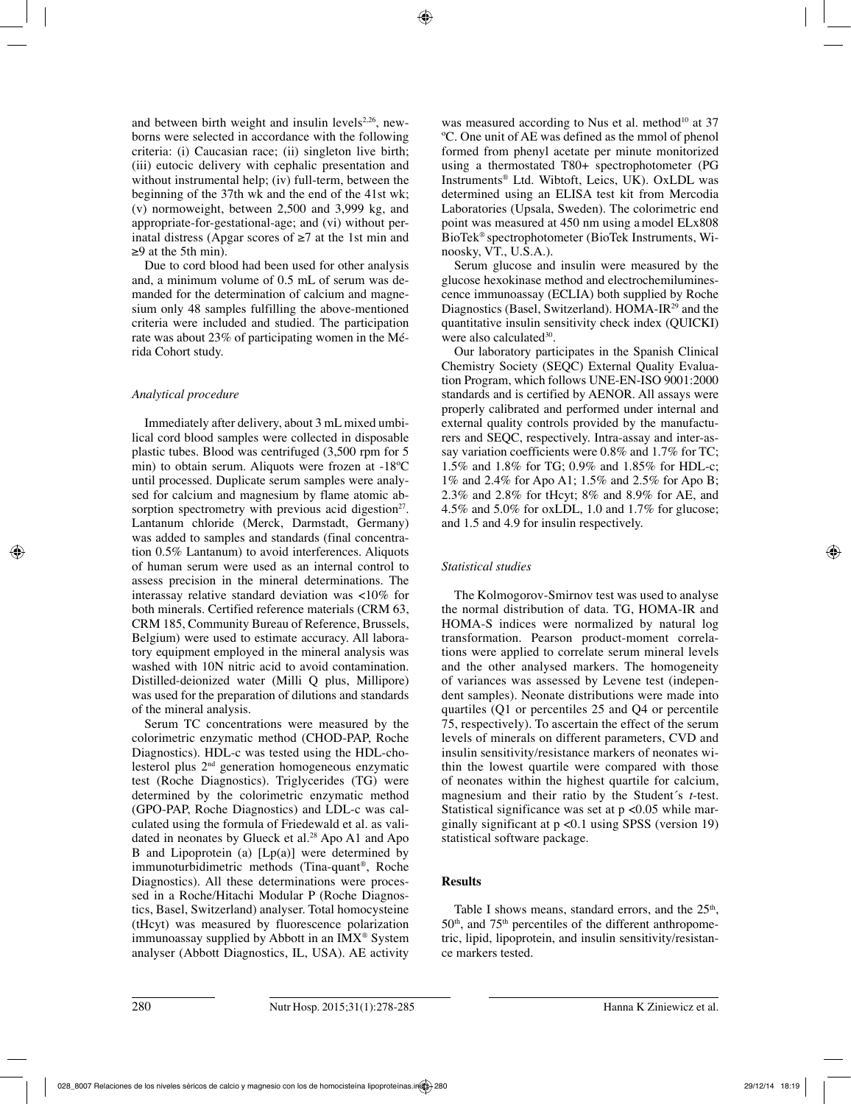and between birth weight and insulin levels<sup>2,26</sup>, newborns were selected in accordance with the following criteria: (i) Caucasian race; (ii) singleton live birth; (iii) eutocic delivery with cephalic presentation and without instrumental help; (iv) full-term, between the beginning of the 37th wk and the end of the 41st wk; (v) normoweight, between 2,500 and 3,999 kg, and appropriate-for-gestational-age; and (vi) without perinatal distress (Apgar scores of  $\geq 7$  at the 1st min and ≥9 at the 5th min).

Due to cord blood had been used for other analysis and, a minimum volume of 0.5 mL of serum was demanded for the determination of calcium and magnesium only 48 samples fulfilling the above-mentioned criteria were included and studied. The participation rate was about 23% of participating women in the Mérida Cohort study.

# *Analytical procedure*

Immediately after delivery, about 3 mL mixed umbilical cord blood samples were collected in disposable plastic tubes. Blood was centrifuged (3,500 rpm for 5 min) to obtain serum. Aliquots were frozen at -18ºC until processed. Duplicate serum samples were analysed for calcium and magnesium by flame atomic absorption spectrometry with previous acid digestion<sup>27</sup>. Lantanum chloride (Merck, Darmstadt, Germany) was added to samples and standards (final concentration 0.5% Lantanum) to avoid interferences. Aliquots of human serum were used as an internal control to assess precision in the mineral determinations. The interassay relative standard deviation was <10% for both minerals. Certified reference materials (CRM 63, CRM 185, Community Bureau of Reference, Brussels, Belgium) were used to estimate accuracy. All laboratory equipment employed in the mineral analysis was washed with 10N nitric acid to avoid contamination. Distilled-deionized water (Milli Q plus, Millipore) was used for the preparation of dilutions and standards of the mineral analysis.

Serum TC concentrations were measured by the colorimetric enzymatic method (CHOD-PAP, Roche Diagnostics). HDL-c was tested using the HDL-cholesterol plus  $2<sup>nd</sup>$  generation homogeneous enzymatic test (Roche Diagnostics). Triglycerides (TG) were determined by the colorimetric enzymatic method (GPO-PAP, Roche Diagnostics) and LDL-c was calculated using the formula of Friedewald et al. as validated in neonates by Glueck et al.<sup>28</sup> Apo A1 and Apo B and Lipoprotein (a)  $[Lp(a)]$  were determined by immunoturbidimetric methods (Tina-quant®, Roche Diagnostics). All these determinations were processed in a Roche/Hitachi Modular P (Roche Diagnostics, Basel, Switzerland) analyser. Total homocysteine (tHcyt) was measured by fluorescence polarization immunoassay supplied by Abbott in an IMX® System analyser (Abbott Diagnostics, IL, USA). AE activity

was measured according to Nus et al. method<sup>10</sup> at 37 ºC. One unit of AE was defined as the mmol of phenol formed from phenyl acetate per minute monitorized using a thermostated T80+ spectrophotometer (PG Instruments® Ltd. Wibtoft, Leics, UK). OxLDL was determined using an ELISA test kit from Mercodia Laboratories (Upsala, Sweden). The colorimetric end point was measured at 450 nm using a model ELx808 BioTek® spectrophotometer (BioTek Instruments, Winoosky, VT., U.S.A.).

Serum glucose and insulin were measured by the glucose hexokinase method and electrochemiluminescence immunoassay (ECLIA) both supplied by Roche Diagnostics (Basel, Switzerland). HOMA-IR29 and the quantitative insulin sensitivity check index (QUICKI) were also calculated<sup>30</sup>.

Our laboratory participates in the Spanish Clinical Chemistry Society (SEQC) External Quality Evaluation Program, which follows UNE-EN-ISO 9001:2000 standards and is certified by AENOR. All assays were properly calibrated and performed under internal and external quality controls provided by the manufacturers and SEQC, respectively. Intra-assay and inter-assay variation coefficients were 0.8% and 1.7% for TC; 1.5% and 1.8% for TG; 0.9% and 1.85% for HDL-c; 1% and 2.4% for Apo A1; 1.5% and 2.5% for Apo B; 2.3% and 2.8% for tHcyt; 8% and 8.9% for AE, and 4.5% and 5.0% for oxLDL, 1.0 and 1.7% for glucose; and 1.5 and 4.9 for insulin respectively.

# *Statistical studies*

The Kolmogorov-Smirnov test was used to analyse the normal distribution of data. TG, HOMA-IR and HOMA-S indices were normalized by natural log transformation. Pearson product-moment correlations were applied to correlate serum mineral levels and the other analysed markers. The homogeneity of variances was assessed by Levene test (independent samples). Neonate distributions were made into quartiles (Q1 or percentiles 25 and Q4 or percentile 75, respectively). To ascertain the effect of the serum levels of minerals on different parameters, CVD and insulin sensitivity/resistance markers of neonates within the lowest quartile were compared with those of neonates within the highest quartile for calcium, magnesium and their ratio by the Student´s *t*-test. Statistical significance was set at  $p \le 0.05$  while marginally significant at  $p \le 0.1$  using SPSS (version 19) statistical software package.

# **Results**

Table I shows means, standard errors, and the  $25<sup>th</sup>$ ,  $50<sup>th</sup>$ , and  $75<sup>th</sup>$  percentiles of the different anthropometric, lipid, lipoprotein, and insulin sensitivity/resistance markers tested.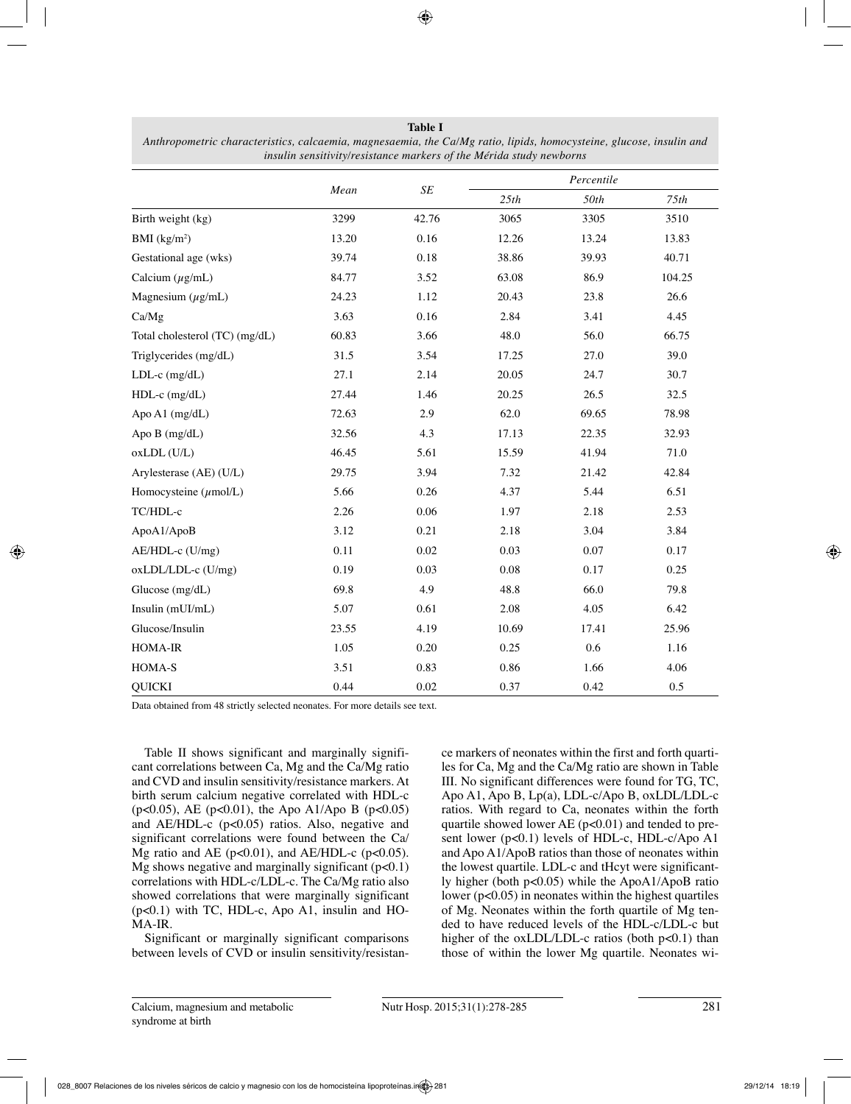|                                |       | $\cal SE$ | Percentile |       |        |
|--------------------------------|-------|-----------|------------|-------|--------|
|                                | Mean  |           | 25th       | 50th  | 75th   |
| Birth weight (kg)              | 3299  | 42.76     | 3065       | 3305  | 3510   |
| BMI $(kg/m2)$                  | 13.20 | 0.16      | 12.26      | 13.24 | 13.83  |
| Gestational age (wks)          | 39.74 | 0.18      | 38.86      | 39.93 | 40.71  |
| Calcium $(\mu g/mL)$           | 84.77 | 3.52      | 63.08      | 86.9  | 104.25 |
| Magnesium $(\mu g/mL)$         | 24.23 | 1.12      | 20.43      | 23.8  | 26.6   |
| Ca/Mg                          | 3.63  | 0.16      | 2.84       | 3.41  | 4.45   |
| Total cholesterol (TC) (mg/dL) | 60.83 | 3.66      | 48.0       | 56.0  | 66.75  |
| Triglycerides (mg/dL)          | 31.5  | 3.54      | 17.25      | 27.0  | 39.0   |
| LDL-c (mg/dL)                  | 27.1  | 2.14      | 20.05      | 24.7  | 30.7   |
| HDL-c (mg/dL)                  | 27.44 | 1.46      | 20.25      | 26.5  | 32.5   |
| Apo A1 (mg/dL)                 | 72.63 | 2.9       | 62.0       | 69.65 | 78.98  |
| Apo B (mg/dL)                  | 32.56 | 4.3       | 17.13      | 22.35 | 32.93  |
| oxLDL (U/L)                    | 46.45 | 5.61      | 15.59      | 41.94 | 71.0   |
| Arylesterase (AE) (U/L)        | 29.75 | 3.94      | 7.32       | 21.42 | 42.84  |
| Homocysteine $(\mu$ mol/L)     | 5.66  | 0.26      | 4.37       | 5.44  | 6.51   |
| TC/HDL-c                       | 2.26  | 0.06      | 1.97       | 2.18  | 2.53   |
| ApoA1/ApoB                     | 3.12  | 0.21      | 2.18       | 3.04  | 3.84   |
| AE/HDL-c (U/mg)                | 0.11  | 0.02      | 0.03       | 0.07  | 0.17   |
| oxLDL/LDL-c (U/mg)             | 0.19  | 0.03      | 0.08       | 0.17  | 0.25   |
| Glucose (mg/dL)                | 69.8  | 4.9       | 48.8       | 66.0  | 79.8   |
| Insulin (mUI/mL)               | 5.07  | 0.61      | 2.08       | 4.05  | 6.42   |
| Glucose/Insulin                | 23.55 | 4.19      | 10.69      | 17.41 | 25.96  |
| HOMA-IR                        | 1.05  | 0.20      | 0.25       | 0.6   | 1.16   |
| HOMA-S                         | 3.51  | 0.83      | 0.86       | 1.66  | 4.06   |
| <b>QUICKI</b>                  | 0.44  | 0.02      | 0.37       | 0.42  | 0.5    |

**Table I** *Anthropometric characteristics, calcaemia, magnesaemia, the Ca/Mg ratio, lipids, homocysteine, glucose, insulin and insulin sensitivity/resistance markers of the Mérida study newborns*

Data obtained from 48 strictly selected neonates. For more details see text.

Table II shows significant and marginally significant correlations between Ca, Mg and the Ca/Mg ratio and CVD and insulin sensitivity/resistance markers. At birth serum calcium negative correlated with HDL-c (p<0.05), AE (p<0.01), the Apo A1/Apo B (p<0.05) and AE/HDL-c  $(p<0.05)$  ratios. Also, negative and significant correlations were found between the Ca/ Mg ratio and AE ( $p<0.01$ ), and AE/HDL-c ( $p<0.05$ ). Mg shows negative and marginally significant  $(p<0.1)$ correlations with HDL-c/LDL-c. The Ca/Mg ratio also showed correlations that were marginally significant (p<0.1) with TC, HDL-c, Apo A1, insulin and HO-MA-IR.

Significant or marginally significant comparisons between levels of CVD or insulin sensitivity/resistance markers of neonates within the first and forth quartiles for Ca, Mg and the Ca/Mg ratio are shown in Table III. No significant differences were found for TG, TC, Apo A1, Apo B, Lp(a), LDL-c/Apo B, oxLDL/LDL-c ratios. With regard to Ca, neonates within the forth quartile showed lower AE  $(p<0.01)$  and tended to present lower (p<0.1) levels of HDL-c, HDL-c/Apo A1 and Apo A1/ApoB ratios than those of neonates within the lowest quartile. LDL-c and tHcyt were significantly higher (both p<0.05) while the ApoA1/ApoB ratio lower (p<0.05) in neonates within the highest quartiles of Mg. Neonates within the forth quartile of Mg tended to have reduced levels of the HDL-c/LDL-c but higher of the oxLDL/LDL-c ratios (both  $p<0.1$ ) than those of within the lower Mg quartile. Neonates wi-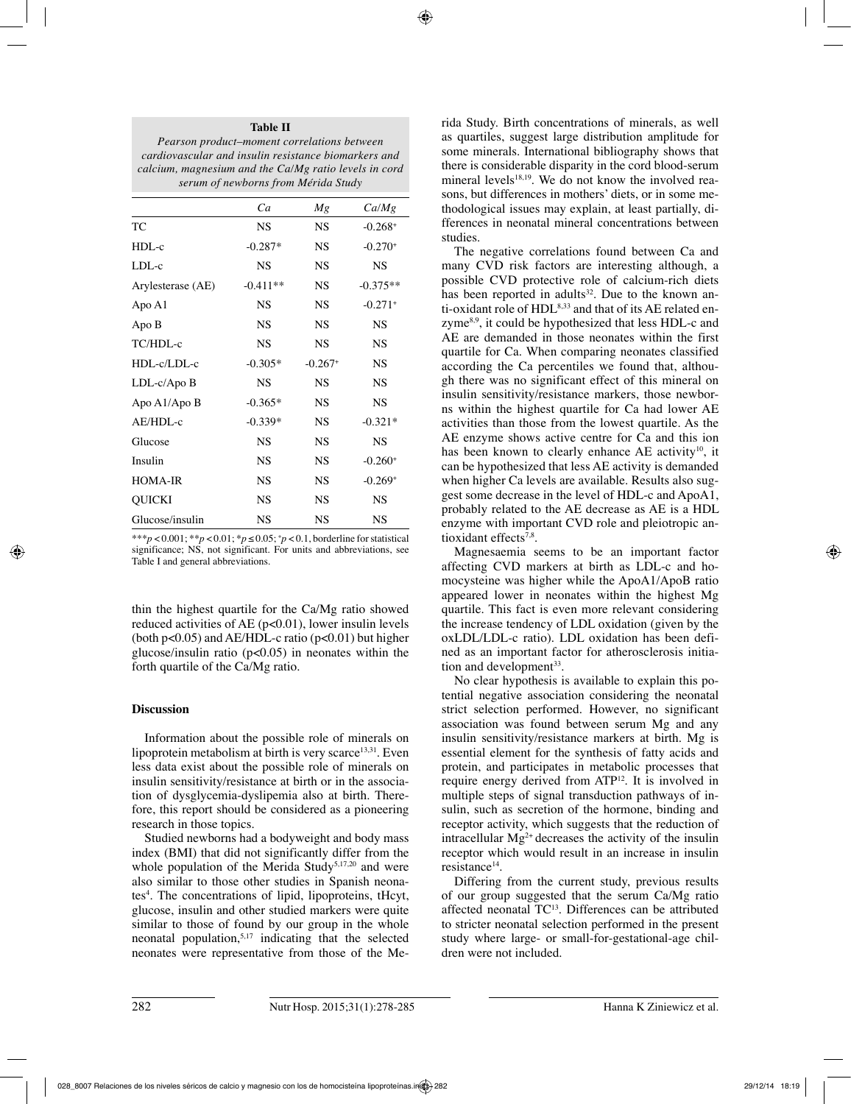#### **Table II**

*Pearson product–moment correlations between cardiovascular and insulin resistance biomarkers and calcium, magnesium and the Ca/Mg ratio levels in cord serum of newborns from Mérida Study*

|                   | Ca         | Мg                    | Ca/Mg                 |
|-------------------|------------|-----------------------|-----------------------|
| TC                | <b>NS</b>  | NS                    | $-0.268+$             |
| $HDL-c$           | $-0.287*$  | <b>NS</b>             | $-0.270+$             |
| $LDL-c$           | <b>NS</b>  | <b>NS</b>             | <b>NS</b>             |
| Arylesterase (AE) | $-0.411**$ | <b>NS</b>             | $-0.375**$            |
| Apo A1            | <b>NS</b>  | <b>NS</b>             | $-0.271$ <sup>+</sup> |
| Apo B             | <b>NS</b>  | <b>NS</b>             | <b>NS</b>             |
| TC/HDL-c          | <b>NS</b>  | <b>NS</b>             | <b>NS</b>             |
| HDL-c/LDL-c       | $-0.305*$  | $-0.267$ <sup>+</sup> | <b>NS</b>             |
| $LDL-c/Apo B$     | <b>NS</b>  | <b>NS</b>             | <b>NS</b>             |
| Apo A1/Apo B      | $-0.365*$  | <b>NS</b>             | <b>NS</b>             |
| AE/HDL-c          | $-0.339*$  | <b>NS</b>             | $-0.321*$             |
| Glucose           | <b>NS</b>  | <b>NS</b>             | <b>NS</b>             |
| Insulin           | <b>NS</b>  | <b>NS</b>             | $-0.260+$             |
| <b>HOMA-IR</b>    | <b>NS</b>  | <b>NS</b>             | $-0.269+$             |
| QUICKI            | <b>NS</b>  | <b>NS</b>             | <b>NS</b>             |
| Glucose/insulin   | <b>NS</b>  | <b>NS</b>             | <b>NS</b>             |

\*\*\**p* < 0.001; \*\**p* < 0.01; \**p* ≤ 0.05; + *p* < 0.1, borderline for statistical significance; NS, not significant. For units and abbreviations, see Table I and general abbreviations.

thin the highest quartile for the Ca/Mg ratio showed reduced activities of AE  $(p<0.01)$ , lower insulin levels (both  $p<0.05$ ) and AE/HDL-c ratio ( $p<0.01$ ) but higher glucose/insulin ratio  $(p<0.05)$  in neonates within the forth quartile of the Ca/Mg ratio.

# **Discussion**

Information about the possible role of minerals on lipoprotein metabolism at birth is very scarce $13,31$ . Even less data exist about the possible role of minerals on insulin sensitivity/resistance at birth or in the association of dysglycemia-dyslipemia also at birth. Therefore, this report should be considered as a pioneering research in those topics.

Studied newborns had a bodyweight and body mass index (BMI) that did not significantly differ from the whole population of the Merida Study<sup>5,17,20</sup> and were also similar to those other studies in Spanish neonates<sup>4</sup>. The concentrations of lipid, lipoproteins, tHcyt, glucose, insulin and other studied markers were quite similar to those of found by our group in the whole neonatal population,5,17 indicating that the selected neonates were representative from those of the Merida Study. Birth concentrations of minerals, as well as quartiles, suggest large distribution amplitude for some minerals. International bibliography shows that there is considerable disparity in the cord blood-serum mineral levels<sup>18,19</sup>. We do not know the involved reasons, but differences in mothers' diets, or in some methodological issues may explain, at least partially, differences in neonatal mineral concentrations between studies.

The negative correlations found between Ca and many CVD risk factors are interesting although, a possible CVD protective role of calcium-rich diets has been reported in adults<sup>32</sup>. Due to the known anti-oxidant role of HDL<sup>8,33</sup> and that of its AE related enzyme8,9, it could be hypothesized that less HDL-c and AE are demanded in those neonates within the first quartile for Ca. When comparing neonates classified according the Ca percentiles we found that, although there was no significant effect of this mineral on insulin sensitivity/resistance markers, those newborns within the highest quartile for Ca had lower AE activities than those from the lowest quartile. As the AE enzyme shows active centre for Ca and this ion has been known to clearly enhance AE activity<sup>10</sup>, it can be hypothesized that less AE activity is demanded when higher Ca levels are available. Results also suggest some decrease in the level of HDL-c and ApoA1, probably related to the AE decrease as AE is a HDL enzyme with important CVD role and pleiotropic antioxidant effects<sup>7,8</sup>.

Magnesaemia seems to be an important factor affecting CVD markers at birth as LDL-c and homocysteine was higher while the ApoA1/ApoB ratio appeared lower in neonates within the highest Mg quartile. This fact is even more relevant considering the increase tendency of LDL oxidation (given by the oxLDL/LDL-c ratio). LDL oxidation has been defined as an important factor for atherosclerosis initiation and development $33$ .

No clear hypothesis is available to explain this potential negative association considering the neonatal strict selection performed. However, no significant association was found between serum Mg and any insulin sensitivity/resistance markers at birth. Mg is essential element for the synthesis of fatty acids and protein, and participates in metabolic processes that require energy derived from ATP12. It is involved in multiple steps of signal transduction pathways of insulin, such as secretion of the hormone, binding and receptor activity, which suggests that the reduction of intracellular  $Mg^{2+}$  decreases the activity of the insulin receptor which would result in an increase in insulin resistance<sup>14</sup>.

Differing from the current study, previous results of our group suggested that the serum Ca/Mg ratio affected neonatal TC13. Differences can be attributed to stricter neonatal selection performed in the present study where large- or small-for-gestational-age children were not included.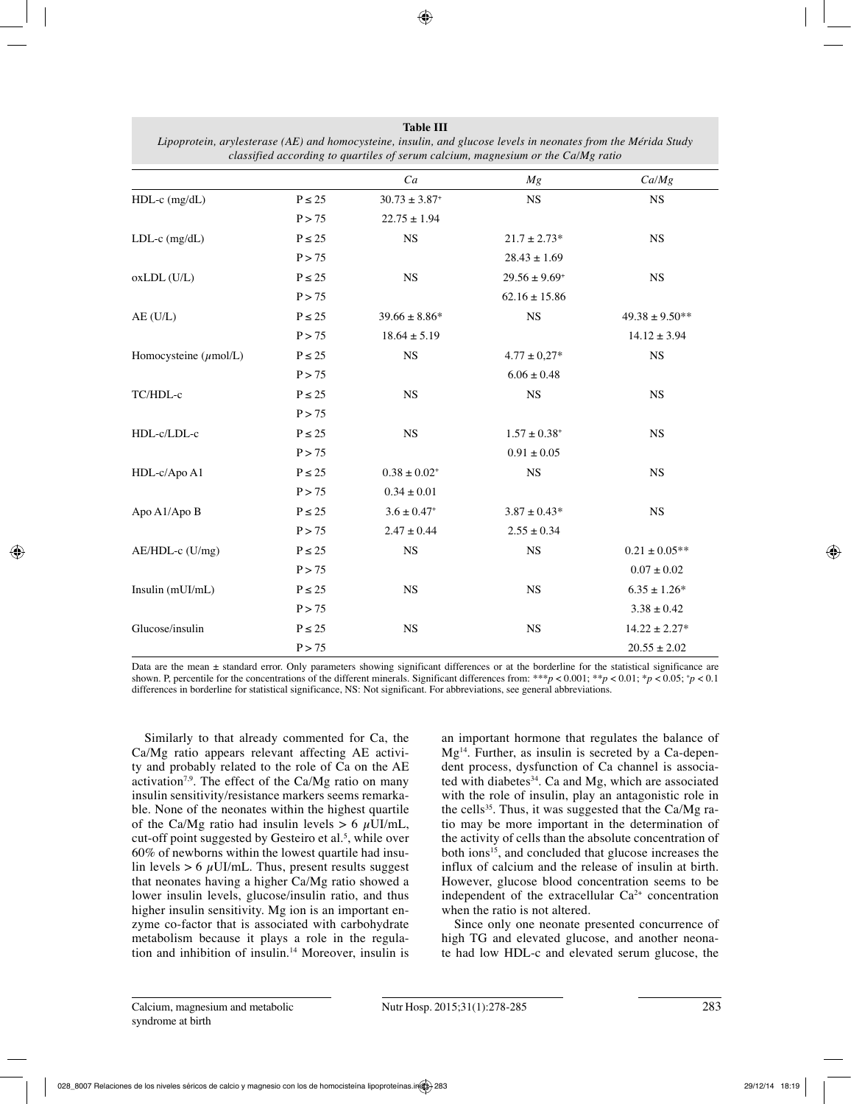|                            |             | Ca                          | Mg                    | Ca/Mg              |
|----------------------------|-------------|-----------------------------|-----------------------|--------------------|
| $HDL-c$ (mg/dL)            | $P \le 25$  | $30.73 \pm 3.87^*$          | $_{\rm NS}$           | <b>NS</b>          |
|                            | P > 75      | $22.75 \pm 1.94$            |                       |                    |
| $LDL-c$ (mg/dL)            | $P \le 25$  | $_{\rm NS}$                 | $21.7 \pm 2.73*$      | <b>NS</b>          |
|                            | P > 75      |                             | $28.43 \pm 1.69$      |                    |
| oxLDL (U/L)                | $P \le 25$  | <b>NS</b>                   | $29.56 \pm 9.69^+$    | <b>NS</b>          |
|                            | P > 75      |                             | $62.16 \pm 15.86$     |                    |
| $AE$ (U/L)                 | $P \leq 25$ | $39.66 \pm 8.86*$           | <b>NS</b>             | $49.38 \pm 9.50**$ |
|                            | P > 75      | $18.64 \pm 5.19$            |                       | $14.12 \pm 3.94$   |
| Homocysteine $(\mu$ mol/L) | $P \le 25$  | <b>NS</b>                   | $4.77 \pm 0.27*$      | <b>NS</b>          |
|                            | P > 75      |                             | $6.06 \pm 0.48$       |                    |
| TC/HDL-c                   | $P \le 25$  | NS                          | NS                    | <b>NS</b>          |
|                            | P > 75      |                             |                       |                    |
| HDL-c/LDL-c                | $P\leq 25$  | NS                          | $1.57\pm0.38^{\circ}$ | <b>NS</b>          |
|                            | P > 75      |                             | $0.91\pm0.05$         |                    |
| HDL-c/Apo A1               | $P \le 25$  | $0.38\pm0.02^+$             | <b>NS</b>             | <b>NS</b>          |
|                            | P > 75      | $0.34 \pm 0.01$             |                       |                    |
| Apo A1/Apo B               | $P\leq 25$  | $3.6 \pm 0.47$ <sup>+</sup> | $3.87 \pm 0.43*$      | NS                 |
|                            | P > 75      | $2.47 \pm 0.44$             | $2.55 \pm 0.34$       |                    |
| AE/HDL-c (U/mg)            | $P \le 25$  | NS                          | <b>NS</b>             | $0.21\pm0.05**$    |
|                            | P > 75      |                             |                       | $0.07 \pm 0.02$    |
| Insulin (mUI/mL)           | $P \le 25$  | <b>NS</b>                   | <b>NS</b>             | $6.35 \pm 1.26*$   |
|                            | P > 75      |                             |                       | $3.38\pm0.42$      |
| Glucose/insulin            | $P \le 25$  | NS                          | <b>NS</b>             | $14.22 \pm 2.27*$  |
|                            | P > 75      |                             |                       | $20.55 \pm 2.02$   |

**Table III** *Lipoprotein, arylesterase (AE) and homocysteine, insulin, and glucose levels in neonates from the Mérida Study classified according to quartiles of serum calcium, magnesium or the Ca/Mg ratio*

Data are the mean  $\pm$  standard error. Only parameters showing significant differences or at the borderline for the statistical significance are shown. P, percentile for the concentrations of the different minerals. Significant differences from: \*\*\* $p < 0.001$ ; \* $p < 0.01$ ; \* $p < 0.05$ ;  $\gamma > 0.1$ differences in borderline for statistical significance, NS: Not significant. For abbreviations, see general abbreviations.

Similarly to that already commented for Ca, the Ca/Mg ratio appears relevant affecting AE activity and probably related to the role of Ca on the AE activation<sup>7,9</sup>. The effect of the Ca/Mg ratio on many insulin sensitivity/resistance markers seems remarkable. None of the neonates within the highest quartile of the Ca/Mg ratio had insulin levels  $> 6 \mu$ UI/mL, cut-off point suggested by Gesteiro et al.<sup>5</sup>, while over 60% of newborns within the lowest quartile had insulin levels  $> 6 \mu$ UI/mL. Thus, present results suggest that neonates having a higher Ca/Mg ratio showed a lower insulin levels, glucose/insulin ratio, and thus higher insulin sensitivity. Mg ion is an important enzyme co-factor that is associated with carbohydrate metabolism because it plays a role in the regulation and inhibition of insulin.14 Moreover, insulin is

an important hormone that regulates the balance of  $Mg<sup>14</sup>$ . Further, as insulin is secreted by a Ca-dependent process, dysfunction of Ca channel is associated with diabetes<sup>34</sup>. Ca and Mg, which are associated with the role of insulin, play an antagonistic role in the cells<sup>35</sup>. Thus, it was suggested that the Ca/Mg ratio may be more important in the determination of the activity of cells than the absolute concentration of both ions<sup>15</sup>, and concluded that glucose increases the influx of calcium and the release of insulin at birth. However, glucose blood concentration seems to be independent of the extracellular  $Ca^{2+}$  concentration when the ratio is not altered.

Since only one neonate presented concurrence of high TG and elevated glucose, and another neonate had low HDL-c and elevated serum glucose, the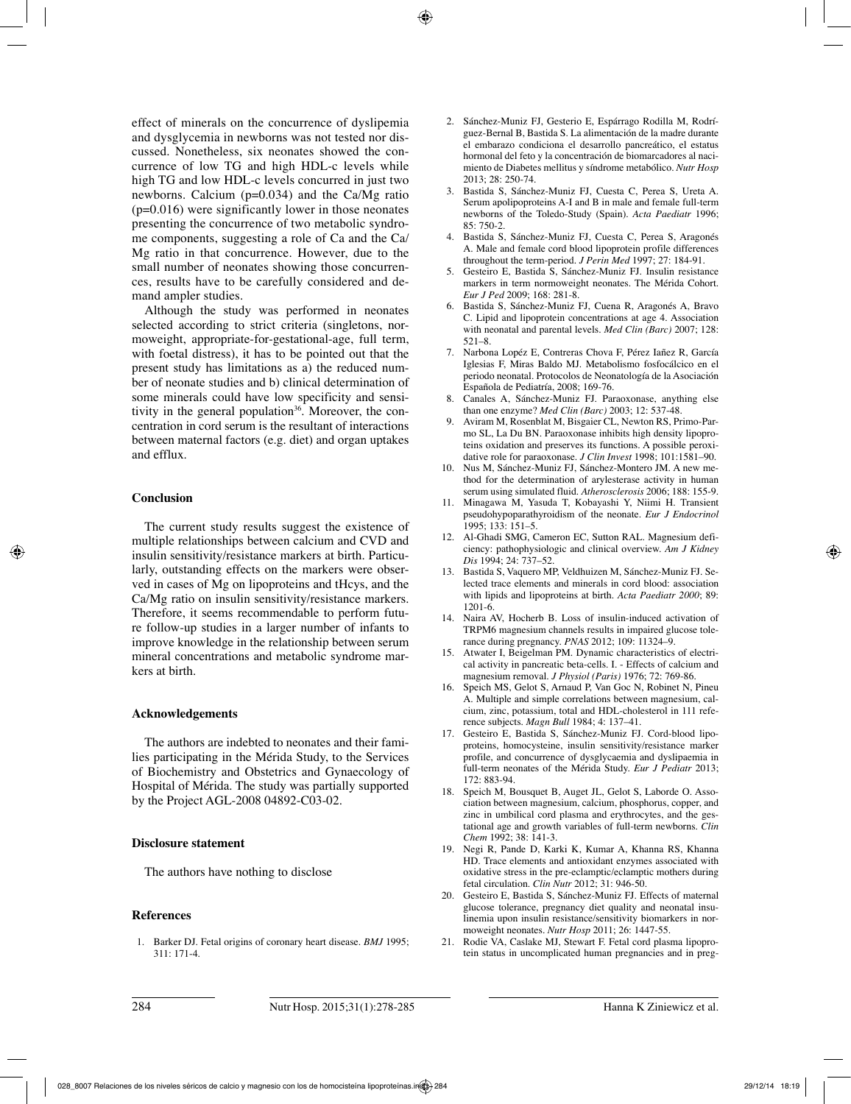effect of minerals on the concurrence of dyslipemia and dysglycemia in newborns was not tested nor discussed. Nonetheless, six neonates showed the concurrence of low TG and high HDL-c levels while high TG and low HDL-c levels concurred in just two newborns. Calcium (p=0.034) and the Ca/Mg ratio  $(p=0.016)$  were significantly lower in those neonates presenting the concurrence of two metabolic syndrome components, suggesting a role of Ca and the Ca/ Mg ratio in that concurrence. However, due to the small number of neonates showing those concurrences, results have to be carefully considered and demand ampler studies.

Although the study was performed in neonates selected according to strict criteria (singletons, normoweight, appropriate-for-gestational-age, full term, with foetal distress), it has to be pointed out that the present study has limitations as a) the reduced number of neonate studies and b) clinical determination of some minerals could have low specificity and sensitivity in the general population<sup>36</sup>. Moreover, the concentration in cord serum is the resultant of interactions between maternal factors (e.g. diet) and organ uptakes and efflux.

# **Conclusion**

The current study results suggest the existence of multiple relationships between calcium and CVD and insulin sensitivity/resistance markers at birth. Particularly, outstanding effects on the markers were observed in cases of Mg on lipoproteins and tHcys, and the Ca/Mg ratio on insulin sensitivity/resistance markers. Therefore, it seems recommendable to perform future follow-up studies in a larger number of infants to improve knowledge in the relationship between serum mineral concentrations and metabolic syndrome markers at birth.

# **Acknowledgements**

The authors are indebted to neonates and their families participating in the Mérida Study, to the Services of Biochemistry and Obstetrics and Gynaecology of Hospital of Mérida. The study was partially supported by the Project AGL-2008 04892-C03-02.

# **Disclosure statement**

The authors have nothing to disclose

#### **References**

1. Barker DJ. Fetal origins of coronary heart disease. *BMJ* 1995;  $311 \cdot 171 - 4$ 

- 2. Sánchez-Muniz FJ, Gesterio E, Espárrago Rodilla M, Rodríguez-Bernal B, Bastida S. La alimentación de la madre durante el embarazo condiciona el desarrollo pancreático, el estatus hormonal del feto y la concentración de biomarcadores al nacimiento de Diabetes mellitus y síndrome metabólico. *Nutr Hosp* 2013; 28: 250-74.
- 3. Bastida S, Sánchez-Muniz FJ, Cuesta C, Perea S, Ureta A. Serum apolipoproteins A-I and B in male and female full-term newborns of the Toledo-Study (Spain). *Acta Paediatr* 1996; 85: 750-2.
- 4. Bastida S, Sánchez-Muniz FJ, Cuesta C, Perea S, Aragonés A. Male and female cord blood lipoprotein profile differences throughout the term-period. *J Perin Med* 1997; 27: 184-91.
- 5. Gesteiro E, Bastida S, Sánchez-Muniz FJ. Insulin resistance markers in term normoweight neonates. The Mérida Cohort. *Eur J Ped* 2009; 168: 281-8.
- 6. Bastida S, Sánchez-Muniz FJ, Cuena R, Aragonés A, Bravo C. Lipid and lipoprotein concentrations at age 4. Association with neonatal and parental levels. *Med Clin (Barc)* 2007; 128: 521–8.
- 7. Narbona Lopéz E, Contreras Chova F, Pérez Iañez R, García Iglesias F, Miras Baldo MJ. Metabolismo fosfocálcico en el periodo neonatal. Protocolos de Neonatología de la Asociación Española de Pediatría, 2008; 169-76.
- 8. Canales A, Sánchez-Muniz FJ. Paraoxonase, anything else than one enzyme? *Med Clin (Barc)* 2003; 12: 537-48.
- 9. Aviram M, Rosenblat M, Bisgaier CL, Newton RS, Primo-Parmo SL, La Du BN. Paraoxonase inhibits high density lipoproteins oxidation and preserves its functions. A possible peroxidative role for paraoxonase. *J Clin Invest* 1998; 101:1581–90.
- 10. Nus M, Sánchez-Muniz FJ, Sánchez-Montero JM. A new method for the determination of arylesterase activity in human serum using simulated fluid. *Atherosclerosis* 2006; 188: 155-9.
- 11. Minagawa M, Yasuda T, Kobayashi Y, Niimi H. Transient pseudohypoparathyroidism of the neonate. *Eur J Endocrinol* 1995; 133: 151–5.
- 12. Al-Ghadi SMG, Cameron EC, Sutton RAL. Magnesium deficiency: pathophysiologic and clinical overview. *Am J Kidney Dis* 1994; 24: 737–52.
- 13. Bastida S, Vaquero MP, Veldhuizen M, Sánchez-Muniz FJ. Selected trace elements and minerals in cord blood: association with lipids and lipoproteins at birth. *Acta Paediatr 2000*; 89: 1201-6.
- 14. Naira AV, Hocherb B. Loss of insulin-induced activation of TRPM6 magnesium channels results in impaired glucose tolerance during pregnancy. *PNAS* 2012; 109: 11324–9.
- 15. Atwater I, Beigelman PM. Dynamic characteristics of electrical activity in pancreatic beta-cells. I. - Effects of calcium and magnesium removal. *J Physiol (Paris)* 1976; 72: 769-86.
- 16. Speich MS, Gelot S, Arnaud P, Van Goc N, Robinet N, Pineu A. Multiple and simple correlations between magnesium, calcium, zinc, potassium, total and HDL-cholesterol in 111 reference subjects. *Magn Bull* 1984; 4: 137–41.
- 17. Gesteiro E, Bastida S, Sánchez-Muniz FJ. Cord-blood lipoproteins, homocysteine, insulin sensitivity/resistance marker profile, and concurrence of dysglycaemia and dyslipaemia in full-term neonates of the Mérida Study. *Eur J Pediatr* 2013; 172: 883-94.
- 18. Speich M, Bousquet B, Auget JL, Gelot S, Laborde O. Association between magnesium, calcium, phosphorus, copper, and zinc in umbilical cord plasma and erythrocytes, and the gestational age and growth variables of full-term newborns. *Clin Chem* 1992; 38: 141-3.
- 19. Negi R, Pande D, Karki K, Kumar A, Khanna RS, Khanna HD. Trace elements and antioxidant enzymes associated with oxidative stress in the pre-eclamptic/eclamptic mothers during fetal circulation. *Clin Nutr* 2012; 31: 946-50.
- 20. Gesteiro E, Bastida S, Sánchez-Muniz FJ. Effects of maternal glucose tolerance, pregnancy diet quality and neonatal insulinemia upon insulin resistance/sensitivity biomarkers in normoweight neonates*. Nutr Hosp* 2011; 26: 1447-55.
- Rodie VA, Caslake MJ, Stewart F. Fetal cord plasma lipoprotein status in uncomplicated human pregnancies and in preg-